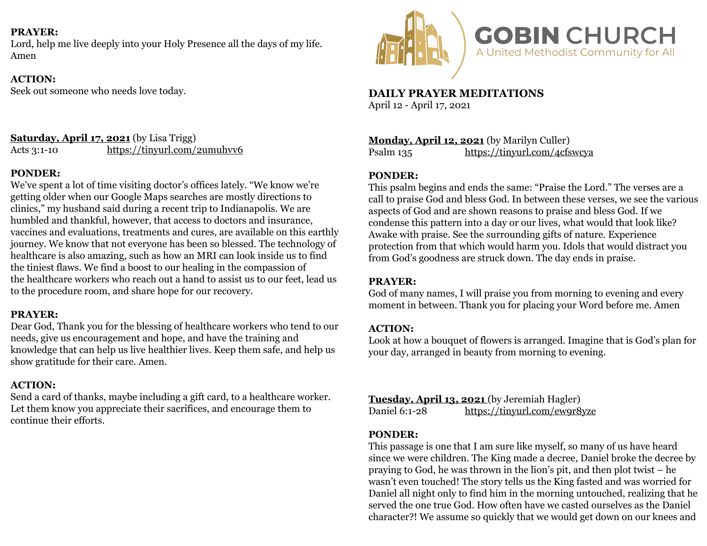### **PRAYER:**

Lord, help me live deeply into your Holy Presence all the days of my life. Amen

### **ACTION:**

Seek out someone who needs love today.

#### **Saturday, April 17, 2021** (by Lisa Trigg) Acts 3:1-10 <https://tinyurl.com/2umuhvv6>

## **PONDER:**

We've spent a lot of time visiting doctor's offices lately. "We know we're getting older when our Google Maps searches are mostly directions to clinics," my husband said during a recent trip to Indianapolis. We are humbled and thankful, however, that access to doctors and insurance, vaccines and evaluations, treatments and cures, are available on this earthly journey. We know that not everyone has been so blessed. The technology of healthcare is also amazing, such as how an MRI can look inside us to find the tiniest flaws. We find a boost to our healing in the compassion of the healthcare workers who reach out a hand to assist us to our feet, lead us to the procedure room, and share hope for our recovery.

### **PRAYER:**

Dear God, Thank you for the blessing of healthcare workers who tend to our needs, give us encouragement and hope, and have the training and knowledge that can help us live healthier lives. Keep them safe, and help us show gratitude for their care. Amen.

### **ACTION:**

Send a card of thanks, maybe including a gift card, to a healthcare worker. Let them know you appreciate their sacrifices, and encourage them to continue their efforts.



**DAILY PRAYER MEDITATIONS**  April 12 - April 17, 2021

**Monday, April 12, 2021** (by Marilyn Culler) Psalm 135 <https://tinyurl.com/4cfswcya>

### **PONDER:**

This psalm begins and ends the same: "Praise the Lord." The verses are a call to praise God and bless God. In between these verses, we see the various aspects of God and are shown reasons to praise and bless God. If we condense this pattern into a day or our lives, what would that look like? Awake with praise. See the surrounding gifts of nature. Experience protection from that which would harm you. Idols that would distract you from God's goodness are struck down. The day ends in praise.

### **PRAYER:**

God of many names, I will praise you from morning to evening and every moment in between. Thank you for placing your Word before me. Amen

### **ACTION:**

Look at how a bouquet of flowers is arranged. Imagine that is God's plan for your day, arranged in beauty from morning to evening.

**Tuesday, April 13, 2021** (by Jeremiah Hagler) Daniel 6:1-28 <https://tinyurl.com/ew9r8yze>

### **PONDER:**

This passage is one that I am sure like myself, so many of us have heard since we were children. The King made a decree, Daniel broke the decree by praying to God, he was thrown in the lion's pit, and then plot twist – he wasn't even touched! The story tells us the King fasted and was worried for Daniel all night only to find him in the morning untouched, realizing that he served the one true God. How often have we casted ourselves as the Daniel character?! We assume so quickly that we would get down on our knees and